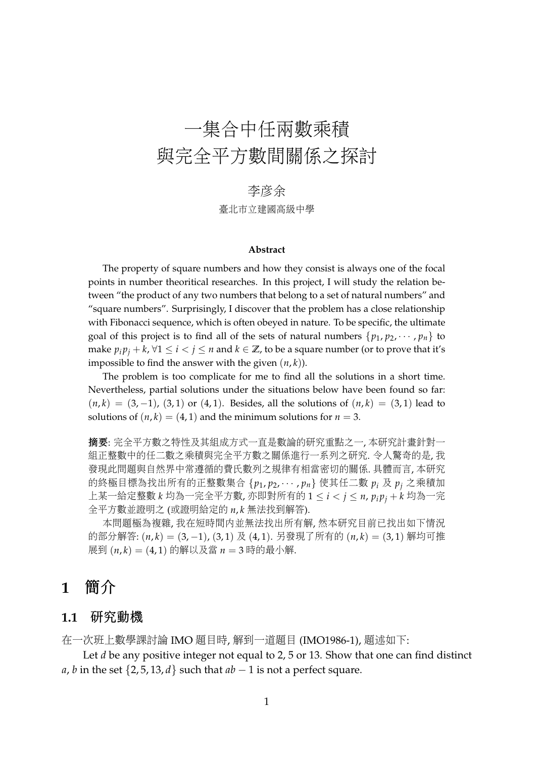# 一集合中任兩數乘積 <sup>與</sup>完全平方數間關係之探<sup>討</sup>

### 李彦余

李彥余 臺北市立建國高級中<sup>學</sup>

#### **Abstract**

The property of square numbers and how they consist is always one of the focal points in number theoritical researches. In this project, I will study the relation between "the product of any two numbers that belong to a set of natural numbers" and "square numbers". Surprisingly, I discover that the problem has a close relationship with Fibonacci sequence, which is often obeyed in nature. To be specific, the ultimate goal of this project is to find all of the sets of natural numbers  $\{p_1, p_2, \cdots, p_n\}$  to make  $p_i p_j + k$ , ∀1 ≤ *i* < *j* ≤ *n* and  $k \in \mathbb{Z}$ , to be a square number (or to prove that it's impossible to find the answer with the given  $(n, k)$ ).

The problem is too complicate for me to find all the solutions in a short time. Nevertheless, partial solutions under the situations below have been found so far:  $(n, k) = (3, -1), (3, 1)$  or  $(4, 1)$ . Besides, all the solutions of  $(n, k) = (3, 1)$  lead to solutions of  $(n, k) = (4, 1)$  and the minimum solutions for  $n = 3$ .

<sup>摘</sup>要: <sup>完</sup>全平方數之特性及其組成方式一直是數論的研究重點之一, 本研究計畫針對<sup>一</sup> <sup>組</sup>正整數中的任二數之乘積與完全平方數之關係進行一系列之研究. 令人驚奇的是, 我 發現此問題與自然界中常遵循的費氏數列之規律有相當密切的關係. <sup>具</sup>體而言, 本研<sup>究</sup> <sup>的</sup>終極目標為找出所有的正整數集<sup>合</sup> {*p*<sup>1</sup> , *<sup>p</sup>*2, · · · , *<sup>p</sup>n*} <sup>使</sup>其任二<sup>數</sup> *<sup>p</sup><sup>i</sup>* <sup>及</sup> *<sup>p</sup><sup>j</sup>* 之乘積<sup>加</sup> <sup>上</sup>某一給定整數 *<sup>k</sup>* <sup>均</sup>為一完全平方數, <sup>亦</sup>即對所有<sup>的</sup> <sup>1</sup> <sup>≤</sup> *<sup>i</sup>* <sup>&</sup>lt; *<sup>j</sup>* <sup>≤</sup> *<sup>n</sup>*, *<sup>p</sup><sup>i</sup> <sup>p</sup><sup>j</sup>* <sup>+</sup> *<sup>k</sup>* <sup>均</sup>為一<sup>完</sup> <sup>全</sup>平方數並證明<sup>之</sup> (或證明給定的 *<sup>n</sup>*, *<sup>k</sup>* <sup>無</sup>法找到解答).

本問題極為複雜, 我在短時間內並無法找出所有解, <sup>然</sup>本研究目前已找出如下情<sup>況</sup> 的部分解答: (*n*, *<sup>k</sup>*) = (3, <sup>−</sup>1), (3, 1) 及 (4, 1). 另發現了所有的 (*n*, *<sup>k</sup>*) = (3, 1) 解均可<sup>推</sup> <sup>展</sup><sup>到</sup> (*n*, *<sup>k</sup>*) = (4, 1) 的解以及當 *<sup>n</sup>* <sup>=</sup> <sup>3</sup> <sup>時</sup>的最小解.

### **<sup>1</sup>** 簡<sup>介</sup>

#### **1.1** 研究動機

<sup>在</sup>一次班上數學課討論 IMO <sup>題</sup>目時, 解到一道題目 (IMO1986-1), <sup>題</sup>述如下:

Let *d* be any positive integer not equal to 2, 5 or 13. Show that one can find distinct *a*, *b* in the set  $\{2, 5, 13, d\}$  such that  $ab - 1$  is not a perfect square.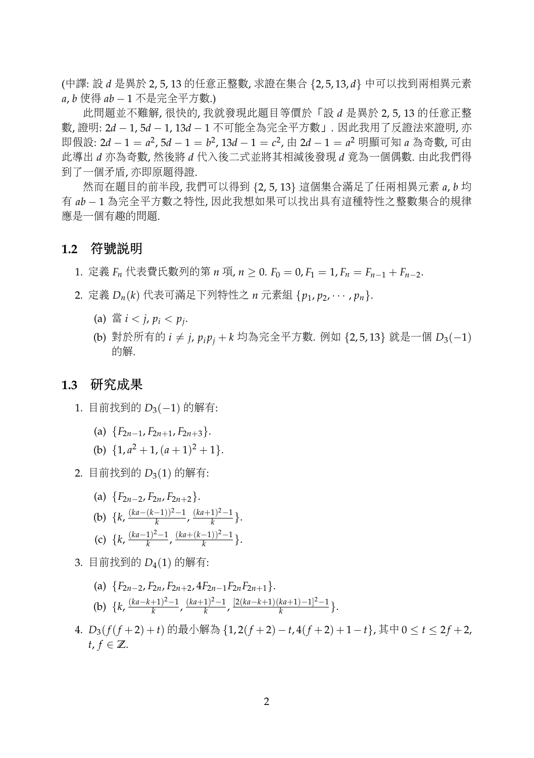(中譯: <sup>設</sup> *<sup>d</sup>* <sup>是</sup>異<sup>於</sup> 2, 5, 13 的任意正整數, <sup>求</sup>證在集<sup>合</sup> {2, 5, 13, *<sup>d</sup>*} <sup>中</sup>可以找到兩相異元<sup>素</sup> *<sup>a</sup>*, *<sup>b</sup>* 使得 *ab* <sup>−</sup> <sup>1</sup> <sup>不</sup>是完全平方數.)

此問題並不難解, 很快的, 我就發現此題目等價於「<sup>設</sup> *<sup>d</sup>* <sup>是</sup>異<sup>於</sup> 2, 5, 13 的任意正<sup>整</sup> <sup>數</sup>, <sup>證</sup>明: 2*<sup>d</sup>* <sup>−</sup> 1, 5*<sup>d</sup>* <sup>−</sup> 1, 13*<sup>d</sup>* <sup>−</sup> <sup>1</sup> <sup>不</sup>可能全為完全平方數」. <sup>因</sup>此我用了反證法來證明, <sup>亦</sup> 即假設: 2*d* − 1 = *a*<sup>2</sup>, 5*d* − 1 = *b*<sup>2</sup>, 13*d* − 1 = *c*<sup>2</sup>, 由 2*d* − 1 = *a*<sup>2</sup> 明顯可知 *a* 為奇數, 可由<br>此道出 4 亦为夺數 約後收 4 代 λ 後二式が收其相対後発現 4 章为一個俚數, 中此我們得 此導<sup>出</sup> *<sup>d</sup>* <sup>亦</sup>為奇數, <sup>然</sup>後<sup>將</sup> *<sup>d</sup>* <sup>代</sup>入後二式並將其相減後發<sup>現</sup> *<sup>d</sup>* <sup>竟</sup>為一個偶數. 由此我們得 <sup>到</sup>了一個矛盾, <sup>亦</sup>即原題得證.

<sup>然</sup>而在題目的前半段, 我們可以得<sup>到</sup> {2, 5, 13} <sup>這</sup>個集合滿足了任兩相異元<sup>素</sup> *<sup>a</sup>*, *<sup>b</sup>* <sup>均</sup> 有 *ab* <sup>−</sup> <sup>1</sup> <sup>為</sup>完全平方數之特性, <sup>因</sup>此我想如果可以找出具有這種特性之整數集合的規律 <sup>應</sup>是一個有趣的問題.

#### **1.2** 符號說明

1. 定義 *F<sub>n</sub>* 代表費氏數列的第 *n* 項, *n* ≥ 0. *F*<sub>0</sub> = 0, *F*<sub>1</sub> = 1, *F<sub>n</sub>* = *F<sub>n−1</sub>* + *F<sub>n−2</sub>*.

- 2. <sup>定</sup><sup>義</sup> *<sup>D</sup>n*(*k*) <sup>代</sup>表可滿足下列特性<sup>之</sup> *<sup>n</sup>* <sup>元</sup>素組 {*p*1, *<sup>p</sup>*2, · · · , *<sup>p</sup>n*}.
	- (a)  $\mathbb{E} i < j, p_i < p_j$ .
	- (b) 對於所有的 *i ≠ j, p*<sub>i</sub> *p*<sub>i</sub> + *k* 均為完全平方數. 例如 {2,5,13} 就是一個 D<sub>3</sub>(−1) 的解.

#### **1.3** <sup>研</sup>究成果

- 1. 目前找到的 *D*<sub>3</sub>(−1) 的解有:
	- (a)  ${F_{2n-1}, F_{2n+1}, F_{2n+3}}$ .
	- (b)  $\{1, a^2 + 1, (a+1)^2 + 1\}.$
- 2. 目前找到的  $D_3(1)$  的解有:
	- (a)  ${F_{2n-2}, F_{2n}, F_{2n+2}}$ . (b)  $\{k, \frac{(ka-(k-1))^2-1}{k}\}$ <sup>-1</sup>/<sup>2−1</sup>, <sup>(ka+1)<sup>2</sup>−1</sup>  $\frac{1)^{2}-1}{k}$ . (c)  $\{k, \frac{(ka-1)^2-1}{k}\}$  $\frac{(ka+(k-1))^2-1}{k}$  $\frac{(-1)}{k}$ .
- 3. 目前找到的 *<sup>D</sup>*4(1) 的解有:
	- (a)  ${F_{2n-2}, F_{2n}, F_{2n+2}, 4F_{2n-1}F_{2n}F_{2n+1}}.$
	- (b)  $\{k, \frac{(ka-k+1)^2-1}{k}\}$ <sup>+1)<sup>2</sup>−1</sub>,  $\frac{(ka+1)^2-1}{k}$ </sup> *k* , [2(*ka*−*k*+1)(*ka*+1)−1] <sup>2</sup>−1  $\frac{k^{(n+1)}-1)^{-1}}{k}$ .
- 4. *<sup>D</sup>*3(*f*(*<sup>f</sup>* <sup>+</sup>2) + *<sup>t</sup>*) 的最小解<sup>為</sup> {1, 2(*<sup>f</sup>* <sup>+</sup>2) <sup>−</sup> *<sup>t</sup>*, 4(*<sup>f</sup>* <sup>+</sup>2) + <sup>1</sup><sup>−</sup> *<sup>t</sup>*}, <sup>其</sup><sup>中</sup> <sup>0</sup> <sup>≤</sup> *<sup>t</sup>* <sup>≤</sup> <sup>2</sup> *<sup>f</sup>* <sup>+</sup>2, *t*,  $f$  ∈  $\mathbb{Z}$ .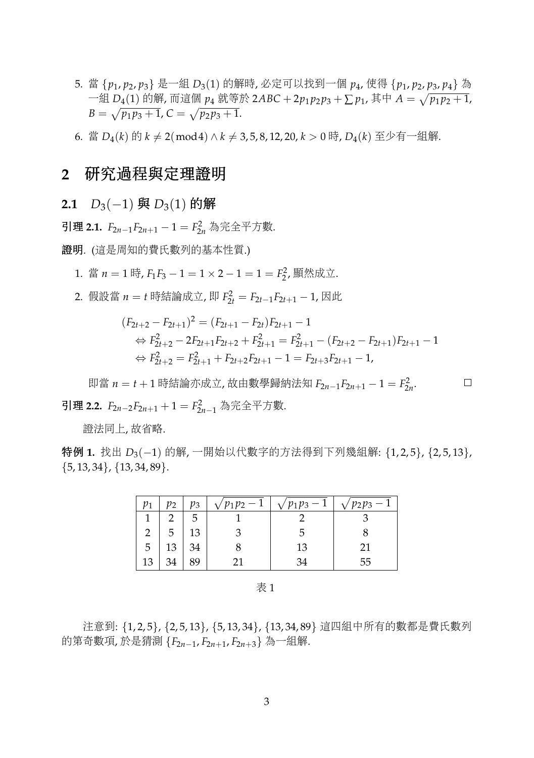- 5. 當 {*p*1, *<sup>p</sup>*2, *<sup>p</sup>*3} <sup>是</sup>一<sup>組</sup> *<sup>D</sup>*3(1) 的解時, 必定可以找到一<sup>個</sup> *<sup>p</sup>*4, 使得 {*p*1, *<sup>p</sup>*2, *<sup>p</sup>*3, *<sup>p</sup>*4} <sup>為</sup> 一組 *D*<sub>4</sub>(1) 的解, 而這個 *p*<sub>4</sub> 就等於 2ABC + 2*p*<sub>1</sub>*p*<sub>2</sub>*p*<sub>3</sub> + ∑ *p*<sub>1</sub>, 其中 *A* =  $\sqrt{p_1 p_2 + 1}$ , *P*  $B = \sqrt{p_1 p_3 + 1}$ ,  $C = \sqrt{p_2 p_3 + 1}$ .
- 6. 當 *D*<sub>4</sub>(*k*) 的 *k* ≠ 2(mod4) ∧ *k* ≠ 3,5, 8, 12, 20, *k* > 0 時, *D*<sub>4</sub>(*k*) 至少有一組解.

### **<sup>2</sup>** <sup>研</sup>究過程與定理證<sup>明</sup>

**2.1** *D*<sub>3</sub>(−1) 與 *D*<sub>3</sub>(1) 的解

<sup>引</sup><sup>理</sup> **2.1.** *<sup>F</sup>*2*n*−1*F*2*n*+<sup>1</sup> <sup>−</sup> <sup>1</sup> <sup>=</sup> *<sup>F</sup>* 2 <sup>2</sup>*<sup>n</sup>* <sup>為</sup>完全平方數.

<sup>證</sup>明*.* (這是周知的費氏數列的基本性質.)

- 1. 當 *n* = 1 時, *F*<sub>1</sub>*F*<sub>3</sub> − 1 = 1 × 2 − 1 = 1 = *F*<sub>2</sub><sup>2</sup>, 顯然成立.
- 2. <sup>假</sup>設當 *<sup>n</sup>* <sup>=</sup> *<sup>t</sup>* <sup>時</sup>結論成立, 即 *<sup>F</sup>* 2 <sup>2</sup>*<sup>t</sup>* <sup>=</sup> *<sup>F</sup>*2*t*−1*F*2*t*+<sup>1</sup> <sup>−</sup> 1, <sup>因</sup><sup>此</sup>

$$
(F_{2t+2} - F_{2t+1})^2 = (F_{2t+1} - F_{2t})F_{2t+1} - 1
$$
  
\n
$$
\Leftrightarrow F_{2t+2}^2 - 2F_{2t+1}F_{2t+2} + F_{2t+1}^2 = F_{2t+1}^2 - (F_{2t+2} - F_{2t+1})F_{2t+1} - 1
$$
  
\n
$$
\Leftrightarrow F_{2t+2}^2 = F_{2t+1}^2 + F_{2t+2}F_{2t+1} - 1 = F_{2t+3}F_{2t+1} - 1,
$$

<sup>即</sup><sup>當</sup> *<sup>n</sup>* <sup>=</sup> *<sup>t</sup>* <sup>+</sup> <sup>1</sup> <sup>時</sup>結論亦成立, <sup>故</sup>由數學歸納法<sup>知</sup> *<sup>F</sup>*2*n*−1*F*2*n*+<sup>1</sup> <sup>−</sup> <sup>1</sup> <sup>=</sup> *<sup>F</sup>* 2 2*n* .  $\Box$ <sup>引</sup><sup>理</sup> **2.2.** *<sup>F</sup>*2*n*−2*F*2*n*+<sup>1</sup> <sup>+</sup> <sup>1</sup> <sup>=</sup> *<sup>F</sup>* 2 <sup>2</sup>*n*−<sup>1</sup> <sup>為</sup>完全平方數.

<sup>證</sup>法同上, <sup>故</sup>省略.

特例 **1.** 找<sup>出</sup> *<sup>D</sup>*3(−1) 的解, <sup>一</sup>開始以代數字的方法得到下列幾組解: {1, 2, 5}, {2, 5, 13},  $\{5, 13, 34\}, \{13, 34, 89\}.$ 

|                         | $p_2$ | pз | $\sqrt{p_1p_2-1}$ | $\frac{p_1p_3-1}{p_2}$ | $p_2p_3 -$ |
|-------------------------|-------|----|-------------------|------------------------|------------|
|                         |       | 5  |                   |                        |            |
| $\overline{\mathbf{c}}$ |       | 13 |                   |                        |            |
| 5                       | 13    | 34 |                   | 13                     | 21         |
| 13                      | 21    |    |                   |                        | 55         |

表 1

<sup>注</sup>意到: {1, 2, 5}, {2, 5, 13}, {5, 13, 34}, {13, 34, 89} <sup>這</sup>四組中所有的數都是費氏數<sup>列</sup> 的第奇數項, <sup>於</sup>是猜<sup>測</sup> {*F*2*n*−1, *<sup>F</sup>*2*n*+1, *<sup>F</sup>*2*n*+3} <sup>為</sup>一組解.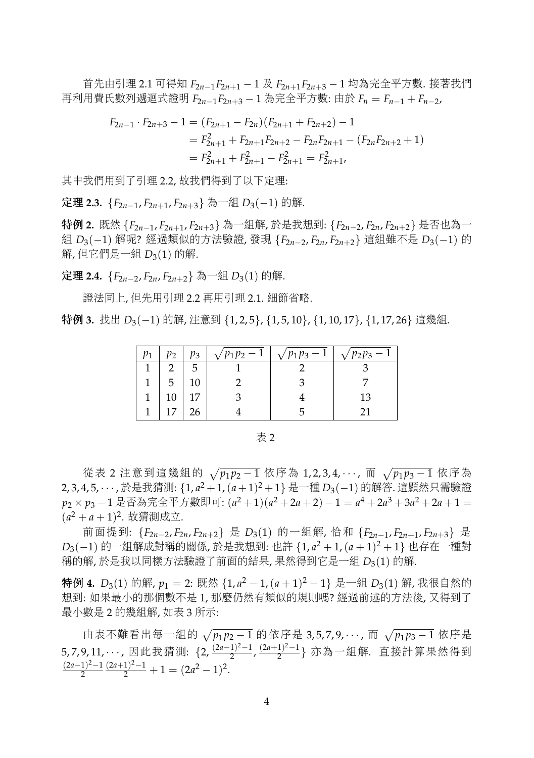<sup>首</sup>先由引<sup>理</sup> 2.1 <sup>可</sup>得<sup>知</sup> *<sup>F</sup>*2*n*−1*F*2*n*+<sup>1</sup> <sup>−</sup> <sup>1</sup> <sup>及</sup> *<sup>F</sup>*2*n*+1*F*2*n*+<sup>3</sup> <sup>−</sup> <sup>1</sup> <sup>均</sup>為完全平方數. <sup>接</sup>著我<sup>們</sup> <sup>再</sup>利用費氏數列遞迴式證<sup>明</sup> *<sup>F</sup>*2*n*−1*F*2*n*+<sup>3</sup> <sup>−</sup> <sup>1</sup> <sup>為</sup>完全平方數: <sup>由</sup><sup>於</sup> *<sup>F</sup><sup>n</sup>* <sup>=</sup> *<sup>F</sup>n*−<sup>1</sup> <sup>+</sup> *<sup>F</sup>n*−2,

$$
F_{2n-1} \cdot F_{2n+3} - 1 = (F_{2n+1} - F_{2n})(F_{2n+1} + F_{2n+2}) - 1
$$
  
=  $F_{2n+1}^2 + F_{2n+1}F_{2n+2} - F_{2n}F_{2n+1} - (F_{2n}F_{2n+2} + 1)$   
=  $F_{2n+1}^2 + F_{2n+1}^2 - F_{2n+1}^2 = F_{2n+1}^2$ ,

<sup>其</sup>中我們用到了引理 2.2, <sup>故</sup>我們得到了以下定理:

**定理 2.3.** {*F*<sub>2*n*−1</sub>, *F*<sub>2*n*+1</sub>, *F*<sub>2*n*+3</sub>} 為一組 *D*<sub>3</sub>(−1) 的解.

特例 **2.** <sup>既</sup><sup>然</sup> {*F*2*n*−1, *<sup>F</sup>*2*n*+1, *<sup>F</sup>*2*n*+3} <sup>為</sup>一組解, <sup>於</sup>是我想到: {*F*2*n*−2, *<sup>F</sup>*2*n*, *<sup>F</sup>*2*n*+2} <sup>是</sup>否也為<sup>一</sup> <sup>組</sup> *<sup>D</sup>*3(−1) 解呢? <sup>經</sup>過類似的方法驗證, 發<sup>現</sup> {*F*2*n*−2, *<sup>F</sup>*2*n*, *<sup>F</sup>*2*n*+2} <sup>這</sup>組雖不<sup>是</sup> *<sup>D</sup>*3(−1) 的 解, 但它們是一組  $D_3(1)$  的解.

<sup>定</sup>理 **2.4.** {*F*2*n*−2, *<sup>F</sup>*2*n*, *<sup>F</sup>*2*n*+2} <sup>為</sup>一<sup>組</sup> *<sup>D</sup>*3(1) 的解.

<sup>證</sup>法同上, 但先用引理 2.2 <sup>再</sup>用引理 2.1. <sup>細</sup>節省略.

特例 **3.** 找<sup>出</sup> *<sup>D</sup>*3(−1) 的解, <sup>注</sup>意<sup>到</sup> {1, 2, 5}, {1, 5, 10}, {1, 10, 17}, {1, 17, 26} <sup>這</sup>幾組.

|   | pз | $\sqrt{p_1p_2 -}$ | $\sqrt{p_1p_3 - 1}$ | $\sqrt{p_2p_3}$ – |
|---|----|-------------------|---------------------|-------------------|
|   | 5  |                   |                     |                   |
| 1 |    |                   |                     |                   |
| 1 |    |                   |                     | 13                |
|   |    |                   |                     |                   |

表 2

從表 2 注意到這幾組的 √p1p2−1 依序為 1,2,3,4,···, 而 √p1p<sub>3</sub>−1 依序為<br>1.5 <sup>於且我德測, {1, -<sup>2</sup>, +1,(c,+1<sup>)2</sup>, +1) 且一種 D.(, 1) 的贸签,這顯然只需驗</sup> 2, 3, 4, 5, · · · , <sup>於</sup>是我猜測: {1, *<sup>a</sup>* <sup>2</sup> +1,(*a* +1) <sup>2</sup> <sup>+</sup>1} <sup>是</sup>一<sup>種</sup> *<sup>D</sup>*3(−1) 的解答. <sup>這</sup>顯然只需驗<sup>證</sup> *p*<sub>2</sub> × *p*<sub>3</sub> − 1 是否為完全平方數即可: (*a*<sup>2</sup> + 1)(*a*<sup>2</sup> + 2*a* + 2) − 1 = *a*<sup>4</sup> + 2*a*<sup>3</sup> + 3*a*<sup>2</sup> + 2*a* + 1 =  $(a^{2} + a + 1)^{2}$ . 故猜測成立.

<sup>前</sup>面提到: {*F*2*n*−2, *<sup>F</sup>*2*n*, *<sup>F</sup>*2*n*+2} <sup>是</sup> *<sup>D</sup>*3(1) 的一組解, <sup>恰</sup><sup>和</sup> {*F*2*n*−1, *<sup>F</sup>*2*n*+1, *<sup>F</sup>*2*n*+3} <sup>是</sup> *D*3(−1)的一組解成對稱的關係, 於是我想到: 也許 {1, *a*<sup>2</sup> + 1, (*a* + 1)<sup>2</sup> + 1} 也存在一種對<br>瑶的解, 於見我以同樣方法驗證了前面的結果, 思然得到它見一组 D. (1) 的解 <sup>稱</sup>的解, <sup>於</sup>是我以同樣方法驗證了前面的結果, 果然得到它是一<sup>組</sup> *<sup>D</sup>*3(1) 的解.

特例 4. *D*<sub>3</sub>(1) 的解, *p*<sub>1</sub> = 2: 既然 {1, *a*<sup>2</sup> − 1, (*a* + 1)<sup>2</sup> − 1} 是一組 *D*<sub>3</sub>(1) 解, 我很自然的 <sup>想</sup>到: 如果最小的那個數不<sup>是</sup> 1, <sup>那</sup>麼仍然有類似的規則嗎? <sup>經</sup>過前述的方法後, 又得到<sup>了</sup> 最小數<sup>是</sup> <sup>2</sup> 的幾組解, 如<sup>表</sup> <sup>3</sup> 所示:

由表不難看出每一組的 √p<sub>1</sub>p<sub>2</sub> − 1 的依序是 3,5,7,9, · · ·, 而 √p<sub>1</sub>p<sub>3</sub> − 1 依序是 5, 7, 9, 11, ⋯, 因此我猜測: {2,  $\frac{(2a-1)^2-1}{2}$  $\frac{(2a+1)^2-1}{2}$ ,  $\frac{(2a+1)^2-1}{2}$  $\frac{1)^{2}-1}{2}$ } 亦為一組解. 直接計算果然得到 (2*a*−1) <sup>2</sup>−1 2  $\frac{(2a+1)^2-1}{2}+1=(2a^2-1)^2.$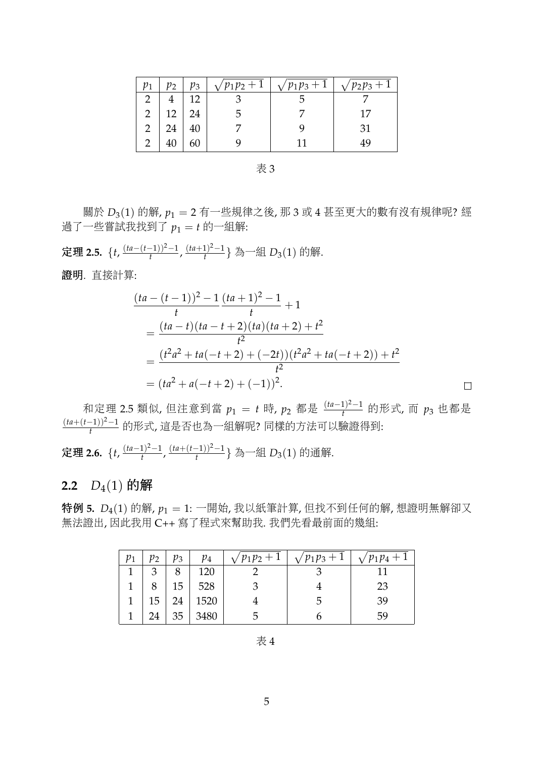| $p_1$ | $p_2$ | pз | $\sqrt{p_1p_2+1}$ | $\sqrt{p_1p_3+1}$ | $\sqrt{p_2p_3+1}$ |  |
|-------|-------|----|-------------------|-------------------|-------------------|--|
|       |       | 12 |                   |                   |                   |  |
| 2     | 12    | 24 |                   |                   | 17                |  |
| 2     | 24    |    |                   |                   | 31                |  |
| າ     |       |    |                   |                   | 49                |  |

表 3

<sup>關</sup><sup>於</sup> *<sup>D</sup>*3(1) <sup>的</sup>解, *<sup>p</sup>*<sup>1</sup> <sup>=</sup> <sup>2</sup> <sup>有</sup>一些規律之後, <sup>那</sup> <sup>3</sup> <sup>或</sup> <sup>4</sup> <sup>甚</sup>至更大的數有沒有規律呢? <sup>經</sup> 過了一些嘗試我找到了 $p_1 = t$ 的一組解:

<sup>定</sup>理 **2.5.** {*t*, (*ta*−(*t*−1))2−1 <sup>-</sup><sup>-1</sup><sup>2</sup><sup>--1</sup></sub>, <sup>(ta+1<sup>2</sup><sup>--1</sup>)<sup>2</sup></sup>  $\frac{1}{t}^{1/2-1}$ } 為一組  $D_3(1)$  的解.

<sup>證</sup>明*.* 直接計算:

$$
\frac{(ta - (t-1))^2 - 1}{t} \frac{(ta + 1)^2 - 1}{t} + 1
$$
\n
$$
= \frac{(ta - t)(ta - t + 2)(ta)(ta + 2) + t^2}{t^2}
$$
\n
$$
= \frac{(t^2a^2 + ta(-t + 2) + (-2t))(t^2a^2 + ta(-t + 2)) + t^2}{t^2}
$$
\n
$$
= (ta^2 + a(-t + 2) + (-1))^2.
$$

 $\Box$ 

和定理 2.5 類似, 但注意到當 *p*1 = *t* 時, *p*2 都是 <sup>(ta−1)<sup>2−1</sup> 的形式, 而 *p*3 也都是<br>t-1))<sup>2−1</sup> de X = la de la de la de la de la de la de la de la de la de la de la de la de la de la de la de la</sup> (*ta*+(*t*−1))2−1 *<sup>t</sup>* <sup>的</sup>形式, <sup>這</sup>是否也為一組解呢? <sup>同</sup>樣的方法可以驗證得到:

<sup>定</sup>理 **2.6.** {*t*, (*ta*−1) <sup>2</sup>−1  $\frac{(ta+(t-1))^2-1}{t}$  $\frac{(-1)^{2}-1}{t}$ } 為一組 *D*<sub>3</sub>(1) 的通解.

### **2.2**  $D_4(1)$  的解

<sup>特</sup><sup>例</sup> **5.** *<sup>D</sup>*4(1) <sup>的</sup>解, *<sup>p</sup>*<sup>1</sup> <sup>=</sup> 1: <sup>一</sup>開始, <sup>我</sup>以紙筆計算, <sup>但</sup>找不到任何的解, <sup>想</sup>證明無解卻又 <sup>無</sup>法證出, <sup>因</sup>此我用 C++ <sup>寫</sup>了程式來幫助我. 我們先看最前面的幾組:

| $p_2$ | $p_3$ | $p_4$ | $\sqrt{p_1p_2+1}$ | $\sqrt{p_1p_3+1}$ | $\sqrt{p_1p_4+1}$ |
|-------|-------|-------|-------------------|-------------------|-------------------|
| з     | 8     | 120   |                   |                   |                   |
|       | 15    | 528   |                   |                   | 23                |
| 15    | 24    | 1520  |                   | ۰,                | -39               |
| 24    | 35    | 3480  |                   |                   | 59                |

表 4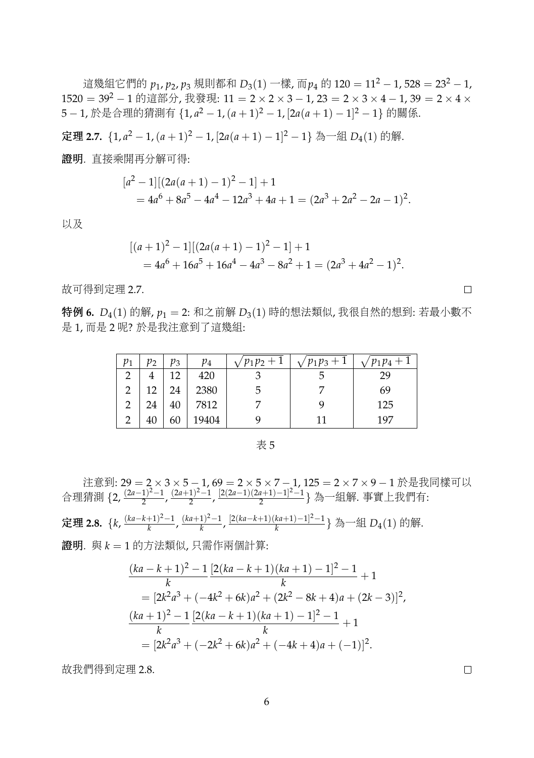<sup>這</sup>幾組它們<sup>的</sup> *<sup>p</sup>*1, *<sup>p</sup>*2, *<sup>p</sup>*<sup>3</sup> <sup>規</sup>則都<sup>和</sup> *<sup>D</sup>*3(1) <sup>一</sup>樣, <sup>而</sup>*p*<sup>4</sup> <sup>的</sup> <sup>120</sup> <sup>=</sup> <sup>11</sup><sup>2</sup> <sup>−</sup> 1, 528 <sup>=</sup> <sup>23</sup><sup>2</sup> <sup>−</sup> 1, <sup>1520</sup> <sup>=</sup> <sup>39</sup><sup>2</sup> <sup>−</sup> <sup>1</sup> 的這部分, 我發現: 11 <sup>=</sup> <sup>2</sup> <sup>×</sup> <sup>2</sup> <sup>×</sup> <sup>3</sup> <sup>−</sup> 1, 23 <sup>=</sup> <sup>2</sup> <sup>×</sup> <sup>3</sup> <sup>×</sup> <sup>4</sup> <sup>−</sup> 1, 39 <sup>=</sup> <sup>2</sup> <sup>×</sup> <sup>4</sup> <sup>×</sup> 5 − 1, 於是合理的猜測有 {1, a<sup>2</sup> − 1, (a + 1)<sup>2</sup> − 1, [2a(a + 1) − 1]<sup>2</sup> − 1} 的關係.

<sup>定</sup>理 **2.7.** {1, *<sup>a</sup>* <sup>2</sup> − 1,(*a* + 1) <sup>2</sup> − 1, [2*a*(*a* + 1) − 1] <sup>2</sup> <sup>−</sup> <sup>1</sup>} <sup>為</sup>一<sup>組</sup> *<sup>D</sup>*4(1) 的解.

<sup>證</sup>明*.* 直接乘開再分解可得:

$$
[a2 - 1][(2a(a + 1) - 1)2 - 1] + 1
$$
  
= 4a<sup>6</sup> + 8a<sup>5</sup> - 4a<sup>4</sup> - 12a<sup>3</sup> + 4a + 1 = (2a<sup>3</sup> + 2a<sup>2</sup> - 2a - 1)<sup>2</sup>.

<sup>以</sup>及

$$
[(a+1)2 - 1][(2a(a + 1) – 1)2 – 1] + 1
$$
  
= 4a<sup>6</sup> + 16a<sup>5</sup> + 16a<sup>4</sup> – 4a<sup>3</sup> – 8a<sup>2</sup> + 1 = (2a<sup>3</sup> + 4a<sup>2</sup> – 1)<sup>2</sup>.

<sup>故</sup>可得到定理 2.7.

<sup>特</sup><sup>例</sup> **6.** *<sup>D</sup>*4(1) <sup>的</sup>解, *<sup>p</sup>*<sup>1</sup> <sup>=</sup> 2: <sup>和</sup>之前<sup>解</sup> *<sup>D</sup>*3(1) <sup>時</sup>的想法類似, <sup>我</sup>很自然的想到: <sup>若</sup>最小數<sup>不</sup> <sup>是</sup> 1, 而<sup>是</sup> <sup>2</sup> <sup>呢</sup>? <sup>於</sup>是我注意到了這幾組:

| $p_1$          | $p_2$ | $p_3$ | $p_4$ | $\sqrt{p_1p_2+1}$ | $\sqrt{p_1p_3+1}$ | $\sqrt{p_1p_4+1}$ |
|----------------|-------|-------|-------|-------------------|-------------------|-------------------|
|                |       | 12    | 420   |                   | C                 | 29                |
| 2              | 12    | 24    | 2380  | b                 |                   | 69                |
| $\overline{2}$ | 24    | 40    | 7812  |                   |                   | 125               |
|                | 40    | 60    | 19404 |                   |                   | 197               |

表 5

注意到: 29 = 2 × 3 × 5 − 1, 69 = 2 × 5 × 7 − 1, 125 = 2 × 7 × 9 − 1 於是我同樣可以 <sup>合</sup>理猜<sup>測</sup> {2, (2*a*−1) <sup>2</sup>−1  $\frac{(2a+1)^2-1}{2}$ ,  $\frac{(2a+1)^2-1}{2}$ 1<sup>2</sup>–1, <sup>[2</sup>(2*a*−1)(2*a*+1)−1<sup>2</sup>–1 2 } <sup>為</sup>一組解. <sup>事</sup>實上我們有: <sup>定</sup>理 **2.8.** {*k*, (*ka*−*k*+1) <sup>2</sup>−1 <sup>+1)<sup>2</sup>−1</sub>,  $\frac{(ka+1)^2-1}{k}$ </sup> *k* , [2(*ka*−*k*+1)(*ka*+1)−1] <sup>2</sup>−1 ka+1)−1¦<sup>∠</sup>−1} 為一組 D<sub>4</sub>(1) 的解. <sup>證</sup>明*.* <sup>與</sup> *<sup>k</sup>* <sup>=</sup> <sup>1</sup> 的方法類似, 只需作兩個計算:

$$
\frac{(ka-k+1)^2 - 1}{k} \frac{[2(ka-k+1)(ka+1) - 1]^2 - 1}{k} + 1
$$
  
=  $[2k^2a^3 + (-4k^2 + 6k)a^2 + (2k^2 - 8k + 4)a + (2k - 3)]^2,$   

$$
\frac{(ka+1)^2 - 1}{k} \frac{[2(ka-k+1)(ka+1) - 1]^2 - 1}{k} + 1
$$
  
=  $[2k^2a^3 + (-2k^2 + 6k)a^2 + (-4k + 4)a + (-1)]^2.$ 

<sup>故</sup>我們得到定理 2.8.

 $\Box$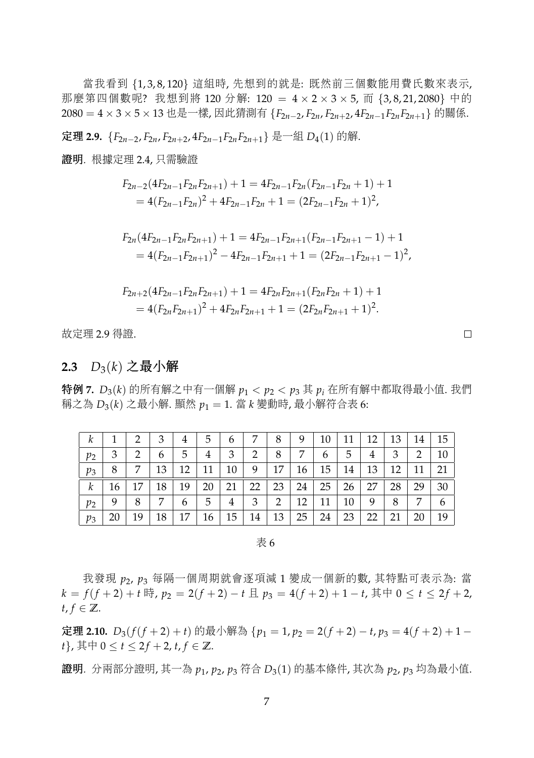當我看<sup>到</sup> {1, 3, 8, 120} <sup>這</sup>組時, <sup>先</sup>想到的就是: <sup>既</sup>然前三個數能用費氏數來表示, 那麼第四個數呢? 我想到將 120 分解: 120 = 4 × 2 × 3 × 5, 而 {3,8,21,2080} 中的 <sup>2080</sup> <sup>=</sup> <sup>4</sup> <sup>×</sup> <sup>3</sup> <sup>×</sup> <sup>5</sup> <sup>×</sup> <sup>13</sup> <sup>也</sup>是一樣, <sup>因</sup>此猜測有 {*F*2*n*−2, *<sup>F</sup>*2*n*, *<sup>F</sup>*2*n*+2, 4*F*2*n*−1*F*2*nF*2*n*+1} 的關係.

<sup>定</sup>理 **2.9.** {*F*2*n*−2, *<sup>F</sup>*2*n*, *<sup>F</sup>*2*n*+2, 4*F*2*n*−1*F*2*nF*2*n*+1} <sup>是</sup>一<sup>組</sup> *<sup>D</sup>*4(1) 的解.

<sup>證</sup>明*.* 根據定理 2.4, 只需驗<sup>證</sup>

$$
F_{2n-2}(4F_{2n-1}F_{2n}F_{2n+1}) + 1 = 4F_{2n-1}F_{2n}(F_{2n-1}F_{2n} + 1) + 1
$$
  
= 4(F\_{2n-1}F\_{2n})<sup>2</sup> + 4F\_{2n-1}F\_{2n} + 1 = (2F\_{2n-1}F\_{2n} + 1)<sup>2</sup>,

$$
F_{2n}(4F_{2n-1}F_{2n}F_{2n+1}) + 1 = 4F_{2n-1}F_{2n+1}(F_{2n-1}F_{2n+1} - 1) + 1
$$
  
= 4(F\_{2n-1}F\_{2n+1})<sup>2</sup> - 4F\_{2n-1}F\_{2n+1} + 1 = (2F\_{2n-1}F\_{2n+1} - 1)<sup>2</sup>,

$$
F_{2n+2}(4F_{2n-1}F_{2n}F_{2n+1}) + 1 = 4F_{2n}F_{2n+1}(F_{2n}F_{2n} + 1) + 1
$$
  
= 4(F\_{2n}F\_{2n+1})<sup>2</sup> + 4F\_{2n}F\_{2n+1} + 1 = (2F\_{2n}F\_{2n+1} + 1)<sup>2</sup>.

<sup>故</sup>定理 2.9 得證.

#### **2.3**  $D_3(k)$  之最小解

<sup>特</sup><sup>例</sup> **7.** *<sup>D</sup>*3(*k*) <sup>的</sup>所有解之中有一個<sup>解</sup> *<sup>p</sup>*<sup>1</sup> <sup>&</sup>lt; *<sup>p</sup>*<sup>2</sup> <sup>&</sup>lt; *<sup>p</sup>*<sup>3</sup> <sup>其</sup> *<sup>p</sup><sup>i</sup>* <sup>在</sup>所有解中都取得最小值. <sup>我</sup><sup>們</sup> <sup>稱</sup>之<sup>為</sup> *<sup>D</sup>*3(*k*) <sup>之</sup>最小解. <sup>顯</sup><sup>然</sup> *<sup>p</sup>*<sup>1</sup> <sup>=</sup> 1. <sup>當</sup> *<sup>k</sup>* <sup>變</sup>動時, <sup>最</sup>小解符合<sup>表</sup> 6:

| k     |    | 2  | 3  | 4  | 5  | 6  | 7  | 8  | 9  | 10        | 11 | 12 | 13 | 14 | 15 |
|-------|----|----|----|----|----|----|----|----|----|-----------|----|----|----|----|----|
| $p_2$ | 3  | 2  | 6  | 5. | 4  | 3  | 2  | 8  | 7  | 6         | 5  | 4  | 3  | 2  | 10 |
| $p_3$ | 8  | 7  | 13 | 12 | 11 | 10 | 9  | 17 | 16 | 15        | 14 | 13 | 12 | 11 | 21 |
| k     | 16 | 17 | 18 | 19 | 20 | 21 | 22 | 23 | 24 | $25 \mid$ | 26 | 27 | 28 | 29 | 30 |
| $p_2$ | 9  | 8  | 7  | 6  | 5  | 4  | 3  | 2  | 12 | 11        | 10 | 9  | 8  | 7  | 6  |
| $p_3$ | 20 | 19 | 18 | 17 | 16 | 15 | 14 | 13 | 25 | 24        | 23 | 22 | 21 | 20 | 19 |

表 6

<sup>我</sup>發<sup>現</sup> *<sup>p</sup>*2, *<sup>p</sup>*<sup>3</sup> <sup>每</sup>隔一個周期就會逐項<sup>減</sup> <sup>1</sup> <sup>變</sup>成一個新的數, <sup>其</sup>特點可表示為: <sup>當</sup> *k* =  $f(f+2) + t$  時,  $p_2 = 2(f+2) - t$  且  $p_3 = 4(f+2) + 1 - t$ , 其中  $0 \le t \le 2f + 2$ ,  $t, f \in \mathbb{Z}$ .

<sup>定</sup><sup>理</sup> **2.10.** *<sup>D</sup>*3(*f*(*<sup>f</sup>* <sup>+</sup> <sup>2</sup>) + *<sup>t</sup>*) <sup>的</sup>最小解<sup>為</sup> {*p*<sup>1</sup> <sup>=</sup> 1, *<sup>p</sup>*<sup>2</sup> <sup>=</sup> <sup>2</sup>(*<sup>f</sup>* <sup>+</sup> <sup>2</sup>) <sup>−</sup> *<sup>t</sup>*, *<sup>p</sup>*<sup>3</sup> <sup>=</sup> <sup>4</sup>(*<sup>f</sup>* <sup>+</sup> <sup>2</sup>) + <sup>1</sup> <sup>−</sup> *t*}, 其中  $0 \le t \le 2f + 2$ ,  $t, f \in \mathbb{Z}$ .

<sup>證</sup>明*.* <sup>分</sup>兩部分證明, <sup>其</sup>一<sup>為</sup> *<sup>p</sup>*1, *<sup>p</sup>*2, *<sup>p</sup>*<sup>3</sup> <sup>符</sup><sup>合</sup> *<sup>D</sup>*3(1) <sup>的</sup>基本條件, <sup>其</sup>次<sup>為</sup> *<sup>p</sup>*2, *<sup>p</sup>*<sup>3</sup> <sup>均</sup>為最小值.

 $\Box$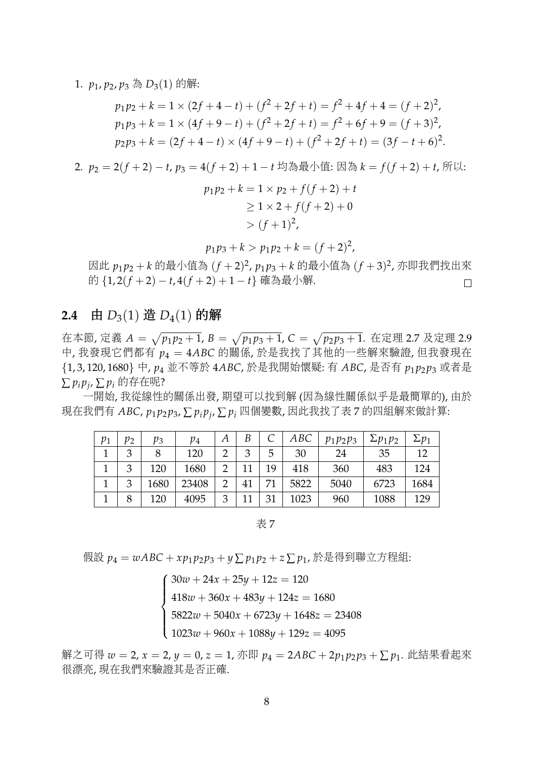1. *<sup>p</sup>*1, *<sup>p</sup>*2, *<sup>p</sup>*<sup>3</sup> <sup>為</sup> *<sup>D</sup>*3(1) <sup>的</sup>解:

$$
p_1p_2 + k = 1 \times (2f + 4 - t) + (f^2 + 2f + t) = f^2 + 4f + 4 = (f + 2)^2,
$$
  
\n
$$
p_1p_3 + k = 1 \times (4f + 9 - t) + (f^2 + 2f + t) = f^2 + 6f + 9 = (f + 3)^2,
$$
  
\n
$$
p_2p_3 + k = (2f + 4 - t) \times (4f + 9 - t) + (f^2 + 2f + t) = (3f - t + 6)^2.
$$

2. 
$$
p_2 = 2(f+2) - t
$$
,  $p_3 = 4(f+2) + 1 - t$  坢為最初(t):  $\Box$ 為  $k = f(f+2) + t$ , 5, 6.

$$
p_1p_2 + k = 1 \times p_2 + f(f + 2) + t
$$
  
\n
$$
\ge 1 \times 2 + f(f + 2) + 0
$$
  
\n
$$
> (f + 1)^2,
$$

$$
p_1p_3 + k > p_1p_2 + k = (f+2)^2,
$$

因此  $p_1 p_2 + k$  的最小值為  $(f + 2)^2$ ,  $p_1 p_3 + k$  的最小值為  $(f + 3)^2$ , 亦即我們找出來 的 {1, 2(*<sup>f</sup>* <sup>+</sup> <sup>2</sup>) <sup>−</sup> *<sup>t</sup>*, 4(*<sup>f</sup>* <sup>+</sup> <sup>2</sup>) + <sup>1</sup> <sup>−</sup> *<sup>t</sup>*} <sup>確</sup>為最小解.

### **2.4** 由  $D_3(1)$  造  $D_4(1)$  的解

在本節, 定義  $A = \sqrt{p_1 p_2 + 1}$ ,  $B = \sqrt{p_1 p_3 + 1}$ ,  $C = \sqrt{p_2 p_3 + 1}$ . 在定理 2.7 及定理 2.9<br>中、我發現它們都有 p = 4.4 PC 的關係 於見我找了其他的一些解來驗發 但我發現左 <sup>中</sup>, <sup>我</sup>發現它們都<sup>有</sup> *<sup>p</sup>*<sup>4</sup> <sup>=</sup> <sup>4</sup>*ABC* <sup>的</sup>關係, <sup>於</sup>是我找了其他的一些解來驗證, <sup>但</sup>我發現<sup>在</sup> {1, 3, 120, 1680} <sup>中</sup>, *<sup>p</sup>*<sup>4</sup> 並不等<sup>於</sup> <sup>4</sup>*ABC*, <sup>於</sup>是我開始懷疑: <sup>有</sup> *ABC*, <sup>是</sup>否<sup>有</sup> *<sup>p</sup>*<sup>1</sup> *<sup>p</sup>*<sup>2</sup> *<sup>p</sup>*<sup>3</sup> <sup>或</sup>者<sup>是</sup>  $\Sigma p_i p_j, \sum p_i$ 的存在呢?

<sup>一</sup>開始, 我從線性的關係出發, 期望可以找到解 (因為線性關係似乎是最簡單的), 由<sup>於</sup> <sup>現</sup>在我們<sup>有</sup> *ABC*, *<sup>p</sup>*<sup>1</sup> *<sup>p</sup>*<sup>2</sup> *<sup>p</sup>*3, <sup>∑</sup> *<sup>p</sup><sup>i</sup> <sup>p</sup><sup>j</sup>* , <sup>∑</sup> *<sup>p</sup><sup>i</sup>* <sup>四</sup>個變數, <sup>因</sup>此我找了<sup>表</sup> <sup>7</sup> <sup>的</sup>四組解來做計算:

| $p_1$ | $p_2$ | pз   | $\,p_4$ |               | В  |    | ABC  | $p_1p_2p_3$ | $\Sigma p_1 p_2$ |      |
|-------|-------|------|---------|---------------|----|----|------|-------------|------------------|------|
|       |       |      | 120     | ∍             |    | 5  | 30   | 24          | 35               |      |
|       | 2     | 120  | 1680    | ∍             |    | 19 | 418  | 360         | 483              | 124  |
|       | 3     | 1680 | 23408   | $\mathcal{D}$ | 41 | 71 | 5822 | 5040        | 6723             | 1684 |
|       |       | 120  | 4095    | κ             |    |    | 1023 | 960         | 1088             | 129  |

表 7

<sup>假</sup><sup>設</sup> *<sup>p</sup>*<sup>4</sup> <sup>=</sup> *wABC* <sup>+</sup> *xp*<sup>1</sup> *<sup>p</sup>*<sup>2</sup> *<sup>p</sup>*<sup>3</sup> <sup>+</sup> *<sup>y</sup>* <sup>∑</sup> *<sup>p</sup>*<sup>1</sup> *<sup>p</sup>*<sup>2</sup> <sup>+</sup> *<sup>z</sup>* <sup>∑</sup> *<sup>p</sup>*1, <sup>於</sup>是得到聯立方程組:

 $\sqrt{ }$  $\int$  $\overline{\mathcal{L}}$  $30w + 24x + 25y + 12z = 120$  $418w + 360x + 483y + 124z = 1680$  $5822w + 5040x + 6723y + 1648z = 23408$  $1023w + 960x + 1088y + 129z = 4095$ 

 $f(x, y) = 2, x = 2, y = 0, z = 1, \text{$   $\bar{y} = 0, z = 1, z = 2$  *p*  $q = 2$  *p*  $q = 2$  *p*  $q = 2p_1p_2p_3 + \sum p_1$ . 此結果看起來 很漂亮, <sup>現</sup>在我們來驗證其是否正確.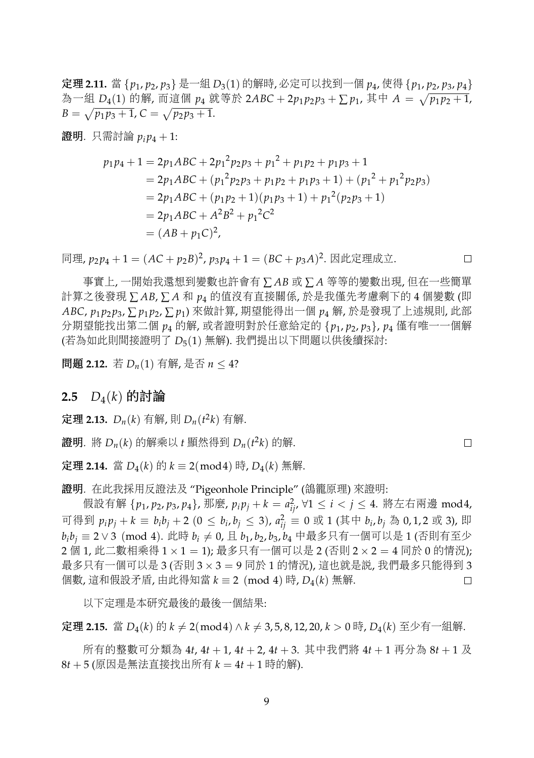<sup>定</sup>理 **2.11.** 當 {*p*1, *<sup>p</sup>*2, *<sup>p</sup>*3} <sup>是</sup>一<sup>組</sup> *<sup>D</sup>*3(1) 的解時, 必定可以找到一<sup>個</sup> *<sup>p</sup>*4, 使得 {*p*1, *<sup>p</sup>*2, *<sup>p</sup>*3, *<sup>p</sup>*4} 為一組 *D*<sub>4</sub>(1) 的解, 而這個 *p*<sub>4</sub> 就等於 2ABC + 2*p*<sub>1</sub>*p*<sub>2</sub>*p*<sub>3</sub> + ∑ *p*<sub>1</sub>, 其中 *A* =  $\sqrt{p_1 p_2 + 1}$ ,  $B = \sqrt{p_1 p_3 + 1}$ ,  $C = \sqrt{p_2 p_3 + 1}$ .

證明. 只需討論  $p_i p_4 + 1$ :

$$
p_1p_4 + 1 = 2p_1ABC + 2p_1^2p_2p_3 + p_1^2 + p_1p_2 + p_1p_3 + 1
$$
  
= 2p\_1ABC + (p\_1^2p\_2p\_3 + p\_1p\_2 + p\_1p\_3 + 1) + (p\_1^2 + p\_1^2p\_2p\_3)  
= 2p\_1ABC + (p\_1p\_2 + 1)(p\_1p\_3 + 1) + p\_1^2(p\_2p\_3 + 1)  
= 2p\_1ABC + A^2B^2 + p\_1^2C^2  
= (AB + p\_1C)^2,

<sup>同</sup>理, *<sup>p</sup>*<sup>2</sup> *<sup>p</sup>*<sup>4</sup> <sup>+</sup> <sup>1</sup> = (*AC* <sup>+</sup> *<sup>p</sup>*2*B*) 2 , *p*<sup>3</sup> *p*<sup>4</sup> + 1 = (*BC* + *p*3*A*) 2 . <sup>因</sup>此定理成立.

<sup>事</sup>實上, <sup>一</sup>開始我還想到變數也許會有 <sup>∑</sup> *AB* <sup>或</sup> <sup>∑</sup> *<sup>A</sup>* 等等的變數出現, <sup>但</sup>在一些簡<sup>單</sup> 計算之後發現 ∑AB,∑A和 p4 的值沒有直接關係, 於是我僅先考慮剩下的4個變數(即 *ABC*, *<sup>p</sup>*<sup>1</sup> *<sup>p</sup>*<sup>2</sup> *<sup>p</sup>*3, <sup>∑</sup> *<sup>p</sup>*<sup>1</sup> *<sup>p</sup>*2, <sup>∑</sup> *<sup>p</sup>*1) <sup>來</sup>做計算, 期望能得出一<sup>個</sup> *<sup>p</sup>*<sup>4</sup> <sup>解</sup>, <sup>於</sup>是發現了上述規則, <sup>此</sup><sup>部</sup> <sup>分</sup>期望能找出第二<sup>個</sup> *<sup>p</sup>*<sup>4</sup> <sup>的</sup>解, <sup>或</sup>者證明對於任意給定<sup>的</sup> {*p*1, *<sup>p</sup>*2, *<sup>p</sup>*3}, *<sup>p</sup>*<sup>4</sup> <sup>僅</sup>有唯一一個<sup>解</sup> (若為如此則間接證明<sup>了</sup> *<sup>D</sup>*5(1) <sup>無</sup>解). 我們提出以下問題以供後續探討:

<sup>問</sup><sup>題</sup> **2.12.** <sup>若</sup> *<sup>D</sup>n*(1) 有解, <sup>是</sup><sup>否</sup> *<sup>n</sup>* <sup>≤</sup> 4?

### **2.5** *<sup>D</sup>*4(*k*) 的討論

<sup>定</sup>理 **2.13.** *<sup>D</sup>n*(*k*) 有解, <sup>則</sup> *<sup>D</sup>n*(*<sup>t</sup>* 2 *<sup>k</sup>*) 有解.

<sup>證</sup>明*.* <sup>將</sup> *<sup>D</sup>n*(*k*) 的解乘以 *<sup>t</sup>* <sup>顯</sup>然得<sup>到</sup> *<sup>D</sup>n*(*<sup>t</sup>* 2 *<sup>k</sup>*) 的解.

<sup>定</sup>理 **2.14.** 當 *<sup>D</sup>*4(*k*) 的 *<sup>k</sup>* <sup>≡</sup> <sup>2</sup>(mod4) <sup>時</sup>, *<sup>D</sup>*4(*k*) <sup>無</sup>解.

<sup>證</sup>明*.* <sup>在</sup>此我採用反證法及 "Pigeonhole Principle" (鴿籠原理) 來證明:

<sup>假</sup>設有<sup>解</sup> {*p*1, *<sup>p</sup>*2, *<sup>p</sup>*3, *<sup>p</sup>*4}, <sup>那</sup>麼, *<sup>p</sup><sup>i</sup> <sup>p</sup><sup>j</sup>* <sup>+</sup> *<sup>k</sup>* <sup>=</sup> *<sup>a</sup>* 2 *ij*, <sup>∀</sup><sup>1</sup> <sup>≤</sup> *<sup>i</sup>* <sup>&</sup>lt; *<sup>j</sup>* <sup>≤</sup> 4. <sup>將</sup>左右兩<sup>邊</sup> mod4, 可得到  $p_i p_j + k \equiv b_i b_j + 2$  (0 ≤  $b_i, b_j \leq 3$ ),  $a_{ij}^2 \equiv 0$  或 1 (其中  $b_i, b_j$  為 0,1,2 或 3), 即  $b_i b_j$  ≡ 2∨ 3 (mod 4). 此時  $b_i \neq 0$ , 且  $b_1$ ,  $b_2$ ,  $b_3$ ,  $b_4$  中最多只有一個可以是 1 (否則有至少 <sup>2</sup> <sup>個</sup> 1, 此二數相乘得 <sup>1</sup> <sup>×</sup> <sup>1</sup> <sup>=</sup> 1); 最多只有一個可以<sup>是</sup> 2 (否<sup>則</sup> <sup>2</sup> <sup>×</sup> <sup>2</sup> <sup>=</sup> <sup>4</sup> <sup>同</sup><sup>於</sup> <sup>0</sup> 的情況); 最多只有一個可以是 3 (否則  $3 \times 3 = 9$  同於 1 的情況), 這也就是説, 我們最多只能得到 3<br>個數, 這和假設矛盾, 由此得知當  $k = 2 \pmod{4}$  時,  $D_4(k)$  無解. <sup>個</sup>數, <sup>這</sup>和假設矛盾, 由此得知當 *<sup>k</sup>* <sup>≡</sup> <sup>2</sup> (mod 4) <sup>時</sup>, *<sup>D</sup>*4(*k*) <sup>無</sup>解.

以下定理是本研究最後的最後一個結果:

<sup>定</sup>理 **2.15.** 當 *<sup>D</sup>*4(*k*) 的 *<sup>k</sup>* <sup>6</sup><sup>=</sup> <sup>2</sup>(mod4) <sup>∧</sup> *<sup>k</sup>* <sup>6</sup><sup>=</sup> 3, 5, 8, 12, 20, *<sup>k</sup>* <sup>&</sup>gt; <sup>0</sup> <sup>時</sup>, *<sup>D</sup>*4(*k*) 至少有一組解.

所有的整數可分類<sup>為</sup> <sup>4</sup>*t*, 4*<sup>t</sup>* <sup>+</sup> 1, 4*<sup>t</sup>* <sup>+</sup> 2, 4*<sup>t</sup>* <sup>+</sup> 3. <sup>其</sup>中我們<sup>將</sup> <sup>4</sup>*<sup>t</sup>* <sup>+</sup> <sup>1</sup> <sup>再</sup>分<sup>為</sup> <sup>8</sup>*<sup>t</sup>* <sup>+</sup> <sup>1</sup> 及  $8t + 5$  (原因是無法直接找出所有  $k = 4t + 1$ 時的解).

 $\Box$ 

 $\Box$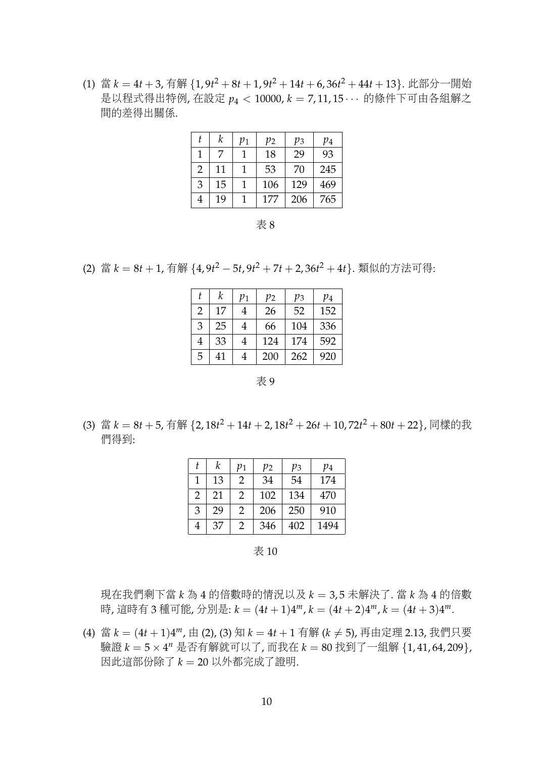(1) 當  $k = 4t + 3$ , 有解  $\{1.9t^2 + 8t + 1.9t^2 + 14t + 6.36t^2 + 44t + 13\}$ . 此部分一開始 <sup>是</sup>以程式得出特例, <sup>在</sup>設<sup>定</sup> *<sup>p</sup>*<sup>4</sup> <sup>&</sup>lt; 10000, *<sup>k</sup>* <sup>=</sup> 7, 11, 15 · · · <sup>的</sup>條件下可由各組解<sup>之</sup> <sup>間</sup>的差得出關係.

| t | k  | $p_1$ | $p_2$ | $p_3$ | $p_4$ |
|---|----|-------|-------|-------|-------|
|   | 7  |       | 18    | 29    | 93    |
| 2 | 11 | 1     | 53    | 70    | 245   |
| 3 | 15 | 1     | 106   | 129   | 469   |
| 4 | 19 | 1     | 177   | 206   | 765   |

表 8

(2) 當 *k* = 8*t* + 1, 有解 {4,9*t*<sup>2</sup> − 5*t*,9*t*<sup>2</sup> + 7*t* + 2,36*t*<sup>2</sup> + 4*t*}. 類似的方法可得:

| t | k  | $p_{1}$ | $p_{2}$ | $p_3$ | $p_4$ |
|---|----|---------|---------|-------|-------|
| 2 | 17 | 4       | 26      | 52    | 152   |
| 3 | 25 | 4       | 66      | 104   | 336   |
| 4 | 33 | 4       | 124     | 174   | 592   |
| 5 | 41 | 4       | 200     | 262   | 920   |

表 9

(3) 當  $k = 8t + 5$ , 有解  $\{2, 18t^2 + 14t + 2, 18t^2 + 26t + 10, 72t^2 + 80t + 22\}$ , 同樣的我 <sup>們</sup>得到:

|   | k  | $p_{1}$ | $p_{2}$ | pз  | $p_4$ |
|---|----|---------|---------|-----|-------|
|   | 13 | 2       | 34      | 54  | 174   |
| 2 | 21 | 2       | 102     | 134 | 470   |
| 3 | 29 | 2       | 206     | 250 | 910   |
| 4 | 37 | 2       | 346     | 402 | 1494  |

表 10

<sup>現</sup>在我們剩下當 *<sup>k</sup>* <sup>為</sup> <sup>4</sup> 的倍數時的情況以及 *<sup>k</sup>* <sup>=</sup> 3, 5 未解決了. 當 *<sup>k</sup>* <sup>為</sup> <sup>4</sup> 的倍<sup>數</sup> <sup>時</sup>, <sup>這</sup>時有 <sup>3</sup> <sup>種</sup>可能, 分別是: *<sup>k</sup>* = (4*<sup>t</sup>* <sup>+</sup> <sup>1</sup>)<sup>4</sup> *<sup>m</sup>*, *k* = (4*t* + 2)4 *<sup>m</sup>*, *k* = (4*t* + 3)4 *m*.

(4) 當  $k = (4t + 1)4^m$ , 由 (2), (3) 知  $k = 4t + 1$  有解 ( $k \neq 5$ ), 再由定理 2.13, 我們只要 驗證 *k* = 5 × 4 *<sup>n</sup>* <sup>是</sup>否有解就可以了, 而我<sup>在</sup> *<sup>k</sup>* <sup>=</sup> <sup>80</sup> 找到了一組解 {1, 41, 64, 209}, <sup>因</sup>此這部份除<sup>了</sup> *<sup>k</sup>* <sup>=</sup> <sup>20</sup> <sup>以</sup>外都完成了證明.